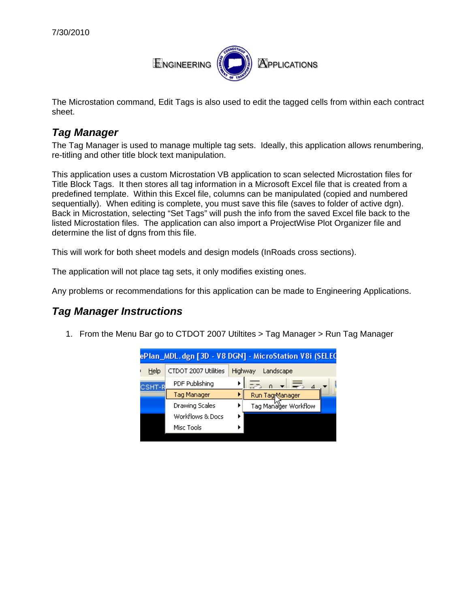

The Microstation command, Edit Tags is also used to edit the tagged cells from within each contract sheet.

## *Tag Manager*

The Tag Manager is used to manage multiple tag sets. Ideally, this application allows renumbering, re-titling and other title block text manipulation.

This application uses a custom Microstation VB application to scan selected Microstation files for Title Block Tags. It then stores all tag information in a Microsoft Excel file that is created from a predefined template. Within this Excel file, columns can be manipulated (copied and numbered sequentially). When editing is complete, you must save this file (saves to folder of active dgn). Back in Microstation, selecting "Set Tags" will push the info from the saved Excel file back to the listed Microstation files. The application can also import a ProjectWise Plot Organizer file and determine the list of dgns from this file.

This will work for both sheet models and design models (InRoads cross sections).

The application will not place tag sets, it only modifies existing ones.

Any problems or recommendations for this application can be made to Engineering Applications.

## *Tag Manager Instructions*

1. From the Menu Bar go to CTDOT 2007 Utiltites > Tag Manager > Run Tag Manager

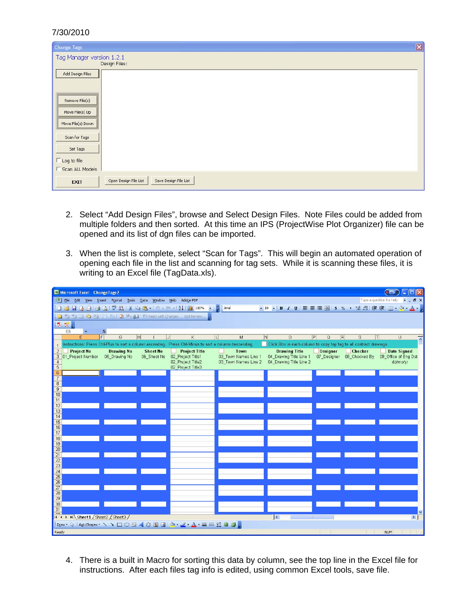## 7/30/2010

| $\mathbf{z}$<br><b>Change Tags</b>                                                                                                                 |  |  |
|----------------------------------------------------------------------------------------------------------------------------------------------------|--|--|
| Tag Manager version 1.2.1<br>Design Files:                                                                                                         |  |  |
| Add Design Files<br>Remove File(s)<br>Move File(s) Up<br>Move File(s) Down<br>Scan for Tags<br>Set Tags<br>$\Gamma$ Log to file<br>Scan ALL Models |  |  |
| Save Design File List<br>Open Design File List<br><b>EXIT</b>                                                                                      |  |  |

- 2. Select "Add Design Files", browse and Select Design Files. Note Files could be added from multiple folders and then sorted. At this time an IPS (ProjectWise Plot Organizer) file can be opened and its list of dgn files can be imported.
- 3. When the list is complete, select "Scan for Tags". This will begin an automated operation of opening each file in the list and scanning for tag sets. While it is scanning these files, it is writing to an Excel file (TagData.xls).

| Microsoft Excel - Change Tags 2<br>$\blacksquare$                                                                                                                                                                                                                                                                                                                                                                                                                                                                                                |                                                                                                                                                                              |                      |  |
|--------------------------------------------------------------------------------------------------------------------------------------------------------------------------------------------------------------------------------------------------------------------------------------------------------------------------------------------------------------------------------------------------------------------------------------------------------------------------------------------------------------------------------------------------|------------------------------------------------------------------------------------------------------------------------------------------------------------------------------|----------------------|--|
| File Edit View Insert Format Tools Data Window Help Adobe PDF                                                                                                                                                                                                                                                                                                                                                                                                                                                                                    | Type a question for help                                                                                                                                                     | $ B$ $\times$        |  |
| $\mid \text{log} \text{ mod } \text{log} \text{ mod } \text{log} \mid \text{log} \text{ mod } \text{log} \text{ mod } \text{log} \text{ mod } \text{log} \text{ mod } \text{log} \text{ mod } \text{log} \text{ mod } \text{log} \text{ mod } \text{log} \text{ mod } \text{log} \text{ mod } \text{log} \text{ mod } \text{log} \text{ mod } \text{log} \text{ mod } \text{log} \text{ mod } \text{log} \text{ mod } \text{log} \text{ mod } \text{log} \text{ mod } \text{log} \text{ mod } \text{log} \text{ mod } \text{log} \text{ mod } \$ |                                                                                                                                                                              |                      |  |
| iation of the Company of the Changes Figure Review                                                                                                                                                                                                                                                                                                                                                                                                                                                                                               |                                                                                                                                                                              |                      |  |
| 【西方】                                                                                                                                                                                                                                                                                                                                                                                                                                                                                                                                             |                                                                                                                                                                              |                      |  |
| E <sub>6</sub><br>$f_{\mathbf{x}}$                                                                                                                                                                                                                                                                                                                                                                                                                                                                                                               |                                                                                                                                                                              |                      |  |
| E<br>E<br> H <br>G                                                                                                                                                                                                                                                                                                                                                                                                                                                                                                                               | R <br><b>N</b><br> P <br>S.<br> T <br>Κ<br>$\mathbf{L}$<br>M<br>$\Omega$<br>Q                                                                                                | U.<br>$\lambda$      |  |
| Click Box in each column to copy top tag to all contract drawings<br>Instructions: Press Ctrl-Plus to sort a column ascending. Press Ctrl-Minus to sort a column descending.                                                                                                                                                                                                                                                                                                                                                                     |                                                                                                                                                                              |                      |  |
| $\sqrt{2}$<br><b>Drawing No</b><br><b>Sheet No</b><br><b>Project No</b>                                                                                                                                                                                                                                                                                                                                                                                                                                                                          | <b>Project Title</b><br>Town<br><b>Designer</b><br><b>Drawing Title</b><br>Checker                                                                                           | <b>Date Signed</b>   |  |
| 3 01 Project Number<br>05 Drawing No<br>06 Sheet No                                                                                                                                                                                                                                                                                                                                                                                                                                                                                              | 04 Drawing Title Line 1<br>02 Project Title1<br>03 Town Names Line 1<br>08 Checked By<br>07 Designer<br>02 Project Title2<br>03 Town Names Line 2<br>04 Drawing Title Line 2 | 09 Office of Eng Dat |  |
| $\overline{4}$<br>$\overline{5}$                                                                                                                                                                                                                                                                                                                                                                                                                                                                                                                 | 02 Project Title3                                                                                                                                                            | dd/mo/yr             |  |
| 6                                                                                                                                                                                                                                                                                                                                                                                                                                                                                                                                                |                                                                                                                                                                              |                      |  |
| $\overline{7}$                                                                                                                                                                                                                                                                                                                                                                                                                                                                                                                                   |                                                                                                                                                                              |                      |  |
| $\bf 8$                                                                                                                                                                                                                                                                                                                                                                                                                                                                                                                                          |                                                                                                                                                                              |                      |  |
| $\overline{9}$<br>10                                                                                                                                                                                                                                                                                                                                                                                                                                                                                                                             |                                                                                                                                                                              |                      |  |
| 11                                                                                                                                                                                                                                                                                                                                                                                                                                                                                                                                               |                                                                                                                                                                              |                      |  |
| 12                                                                                                                                                                                                                                                                                                                                                                                                                                                                                                                                               |                                                                                                                                                                              |                      |  |
| 13                                                                                                                                                                                                                                                                                                                                                                                                                                                                                                                                               |                                                                                                                                                                              |                      |  |
| 14<br>15                                                                                                                                                                                                                                                                                                                                                                                                                                                                                                                                         |                                                                                                                                                                              |                      |  |
| 16                                                                                                                                                                                                                                                                                                                                                                                                                                                                                                                                               |                                                                                                                                                                              |                      |  |
| 17                                                                                                                                                                                                                                                                                                                                                                                                                                                                                                                                               |                                                                                                                                                                              |                      |  |
| 18                                                                                                                                                                                                                                                                                                                                                                                                                                                                                                                                               |                                                                                                                                                                              |                      |  |
| 19                                                                                                                                                                                                                                                                                                                                                                                                                                                                                                                                               |                                                                                                                                                                              |                      |  |
| 20<br>21                                                                                                                                                                                                                                                                                                                                                                                                                                                                                                                                         |                                                                                                                                                                              |                      |  |
|                                                                                                                                                                                                                                                                                                                                                                                                                                                                                                                                                  |                                                                                                                                                                              |                      |  |
| $\frac{22}{23}$                                                                                                                                                                                                                                                                                                                                                                                                                                                                                                                                  |                                                                                                                                                                              |                      |  |
| 24                                                                                                                                                                                                                                                                                                                                                                                                                                                                                                                                               |                                                                                                                                                                              |                      |  |
| 25<br>26                                                                                                                                                                                                                                                                                                                                                                                                                                                                                                                                         |                                                                                                                                                                              |                      |  |
| 27                                                                                                                                                                                                                                                                                                                                                                                                                                                                                                                                               |                                                                                                                                                                              |                      |  |
| 28                                                                                                                                                                                                                                                                                                                                                                                                                                                                                                                                               |                                                                                                                                                                              |                      |  |
| 29                                                                                                                                                                                                                                                                                                                                                                                                                                                                                                                                               |                                                                                                                                                                              |                      |  |
| 30<br>31                                                                                                                                                                                                                                                                                                                                                                                                                                                                                                                                         |                                                                                                                                                                              |                      |  |
| $\cap$                                                                                                                                                                                                                                                                                                                                                                                                                                                                                                                                           |                                                                                                                                                                              |                      |  |
| II + ▶ H Sheet1 / Sheet2 / Sheet3 /                                                                                                                                                                                                                                                                                                                                                                                                                                                                                                              | $\overline{\left\langle \right\rangle }$                                                                                                                                     | $\vert$              |  |
| iDraw ▼ \   AutoShapes ▼ \ \ □○ △ 4 ☆ ③ ③   _ △ - △ - ▲ - 三三号 ■ □ 。                                                                                                                                                                                                                                                                                                                                                                                                                                                                              |                                                                                                                                                                              |                      |  |
| NUM.<br>Ready                                                                                                                                                                                                                                                                                                                                                                                                                                                                                                                                    |                                                                                                                                                                              |                      |  |

4. There is a built in Macro for sorting this data by column, see the top line in the Excel file for instructions. After each files tag info is edited, using common Excel tools, save file.